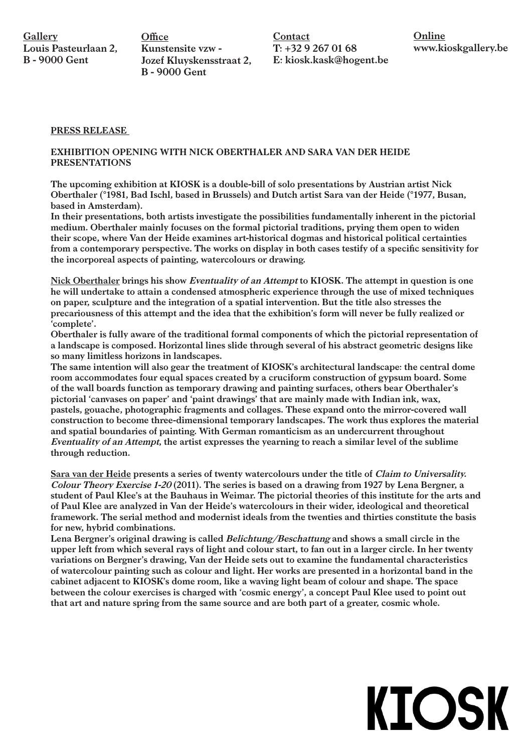**Office** Kunstensite vzw - Jozef Kluyskensstraat 2, B - 9000 Gent

Contact  $T: +3292670168$ E: kiosk.kask@hogent.be **Online** www.kioskgallery.be

**KIOSK** 

## PRESS RELEASE

## EXHIBITION OPENING WITH NICK OBERTHALER AND SARA VAN DER HEIDE PRESENTATIONS

The upcoming exhibition at KIOSK is a double-bill of solo presentations by Austrian artist Nick Oberthaler (°1981, Bad Ischl, based in Brussels) and Dutch artist Sara van der Heide (°1977, Busan, based in Amsterdam).

In their presentations, both artists investigate the possibilities fundamentally inherent in the pictorial medium. Oberthaler mainly focuses on the formal pictorial traditions, prying them open to widen their scope, where Van der Heide examines art-historical dogmas and historical political certainties from a contemporary perspective. The works on display in both cases testify of a specific sensitivity for the incorporeal aspects of painting, watercolours or drawing.

Nick Oberthaler brings his show Eventuality of an Attempt to KIOSK. The attempt in question is one he will undertake to attain a condensed atmospheric experience through the use of mixed techniques on paper, sculpture and the integration of a spatial intervention. But the title also stresses the precariousness of this attempt and the idea that the exhibition's form will never be fully realized or 'complete'.

Oberthaler is fully aware of the traditional formal components of which the pictorial representation of a landscape is composed. Horizontal lines slide through several of his abstract geometric designs like so many limitless horizons in landscapes.

The same intention will also gear the treatment of KIOSK's architectural landscape: the central dome room accommodates four equal spaces created by a cruciform construction of gypsum board. Some of the wall boards function as temporary drawing and painting surfaces, others bear Oberthaler's pictorial 'canvases on paper' and 'paint drawings' that are mainly made with Indian ink, wax, pastels, gouache, photographic fragments and collages. These expand onto the mirror-covered wall construction to become three-dimensional temporary landscapes. The work thus explores the material and spatial boundaries of painting. With German romanticism as an undercurrent throughout Eventuality of an Attempt, the artist expresses the yearning to reach a similar level of the sublime through reduction.

Sara van der Heide presents a series of twenty watercolours under the title of Claim to Universality. Colour Theory Exercise 1-20 (2011). The series is based on a drawing from 1927 by Lena Bergner, a student of Paul Klee's at the Bauhaus in Weimar. The pictorial theories of this institute for the arts and of Paul Klee are analyzed in Van der Heide's watercolours in their wider, ideological and theoretical framework. The serial method and modernist ideals from the twenties and thirties constitute the basis for new, hybrid combinations.

Lena Bergner's original drawing is called *Belichtung/Beschattung* and shows a small circle in the upper left from which several rays of light and colour start, to fan out in a larger circle. In her twenty variations on Bergner's drawing, Van der Heide sets out to examine the fundamental characteristics of watercolour painting such as colour and light. Her works are presented in a horizontal band in the cabinet adjacent to KIOSK's dome room, like a waving light beam of colour and shape. The space between the colour exercises is charged with 'cosmic energy', a concept Paul Klee used to point out that art and nature spring from the same source and are both part of a greater, cosmic whole.